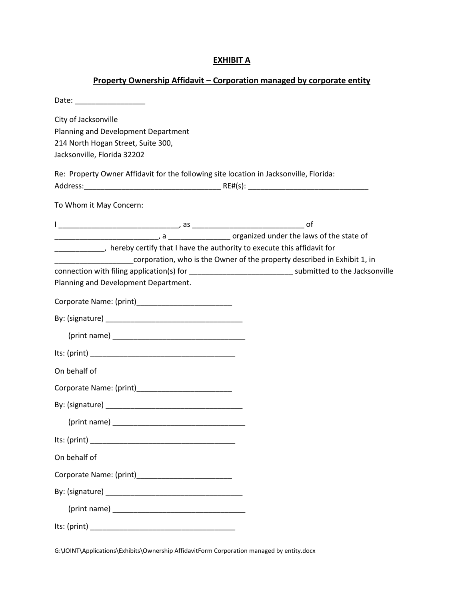## **EXHIBIT A**

## **Property Ownership Affidavit – Corporation managed by corporate entity**

| Date: ____________________                                                                                                                                                                                                    |
|-------------------------------------------------------------------------------------------------------------------------------------------------------------------------------------------------------------------------------|
| City of Jacksonville<br>Planning and Development Department<br>214 North Hogan Street, Suite 300,<br>Jacksonville, Florida 32202                                                                                              |
| Re: Property Owner Affidavit for the following site location in Jacksonville, Florida:                                                                                                                                        |
| To Whom it May Concern:                                                                                                                                                                                                       |
| _____________, hereby certify that I have the authority to execute this affidavit for<br>corporation, who is the Owner of the property described in Exhibit 1, in                                                             |
| connection with filing application(s) for _________________________________ submitted to the Jacksonville<br>Planning and Development Department.                                                                             |
|                                                                                                                                                                                                                               |
|                                                                                                                                                                                                                               |
| (print name) and the contract of the contract of the contract of the contract of the contract of the contract of the contract of the contract of the contract of the contract of the contract of the contract of the contract |
|                                                                                                                                                                                                                               |
| On behalf of                                                                                                                                                                                                                  |
|                                                                                                                                                                                                                               |
|                                                                                                                                                                                                                               |
|                                                                                                                                                                                                                               |
| Its: $(print)$                                                                                                                                                                                                                |
| On behalf of                                                                                                                                                                                                                  |
|                                                                                                                                                                                                                               |
|                                                                                                                                                                                                                               |
|                                                                                                                                                                                                                               |
|                                                                                                                                                                                                                               |

G:\JOINT\Applications\Exhibits\Ownership AffidavitForm Corporation managed by entity.docx